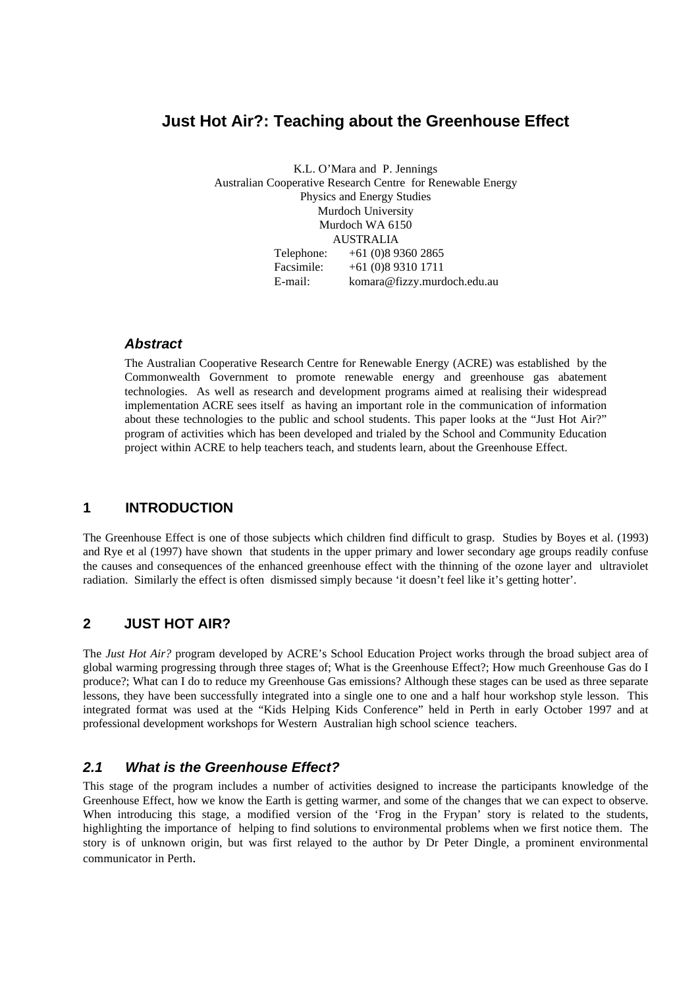# **Just Hot Air?: Teaching about the Greenhouse Effect**

K.L. O'Mara and P. Jennings Australian Cooperative Research Centre for Renewable Energy Physics and Energy Studies Murdoch University Murdoch WA 6150 AUSTRALIA Telephone: +61 (0)8 9360 2865 Facsimile: +61 (0)8 9310 1711 E-mail: komara@fizzy.murdoch.edu.au

### *Abstract*

The Australian Cooperative Research Centre for Renewable Energy (ACRE) was established by the Commonwealth Government to promote renewable energy and greenhouse gas abatement technologies. As well as research and development programs aimed at realising their widespread implementation ACRE sees itself as having an important role in the communication of information about these technologies to the public and school students. This paper looks at the "Just Hot Air?" program of activities which has been developed and trialed by the School and Community Education project within ACRE to help teachers teach, and students learn, about the Greenhouse Effect.

### **1 INTRODUCTION**

The Greenhouse Effect is one of those subjects which children find difficult to grasp. Studies by Boyes et al. (1993) and Rye et al (1997) have shown that students in the upper primary and lower secondary age groups readily confuse the causes and consequences of the enhanced greenhouse effect with the thinning of the ozone layer and ultraviolet radiation. Similarly the effect is often dismissed simply because 'it doesn't feel like it's getting hotter'.

## **2 JUST HOT AIR?**

The *Just Hot Air?* program developed by ACRE's School Education Project works through the broad subject area of global warming progressing through three stages of; What is the Greenhouse Effect?; How much Greenhouse Gas do I produce?; What can I do to reduce my Greenhouse Gas emissions? Although these stages can be used as three separate lessons, they have been successfully integrated into a single one to one and a half hour workshop style lesson. This integrated format was used at the "Kids Helping Kids Conference" held in Perth in early October 1997 and at professional development workshops for Western Australian high school science teachers.

### *2.1 What is the Greenhouse Effect?*

This stage of the program includes a number of activities designed to increase the participants knowledge of the Greenhouse Effect, how we know the Earth is getting warmer, and some of the changes that we can expect to observe. When introducing this stage, a modified version of the 'Frog in the Frypan' story is related to the students, highlighting the importance of helping to find solutions to environmental problems when we first notice them. The story is of unknown origin, but was first relayed to the author by Dr Peter Dingle, a prominent environmental communicator in Perth.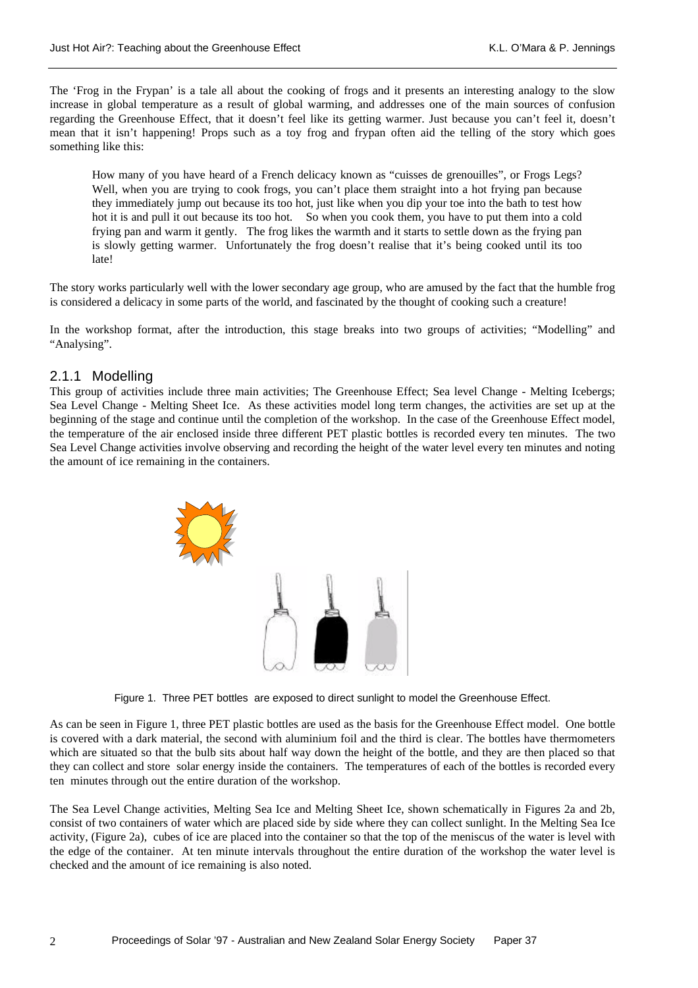The 'Frog in the Frypan' is a tale all about the cooking of frogs and it presents an interesting analogy to the slow increase in global temperature as a result of global warming, and addresses one of the main sources of confusion regarding the Greenhouse Effect, that it doesn't feel like its getting warmer. Just because you can't feel it, doesn't mean that it isn't happening! Props such as a toy frog and frypan often aid the telling of the story which goes something like this:

How many of you have heard of a French delicacy known as "cuisses de grenouilles", or Frogs Legs? Well, when you are trying to cook frogs, you can't place them straight into a hot frying pan because they immediately jump out because its too hot, just like when you dip your toe into the bath to test how hot it is and pull it out because its too hot. So when you cook them, you have to put them into a cold frying pan and warm it gently. The frog likes the warmth and it starts to settle down as the frying pan is slowly getting warmer. Unfortunately the frog doesn't realise that it's being cooked until its too late!

The story works particularly well with the lower secondary age group, who are amused by the fact that the humble frog is considered a delicacy in some parts of the world, and fascinated by the thought of cooking such a creature!

In the workshop format, after the introduction, this stage breaks into two groups of activities; "Modelling" and "Analysing".

### 2.1.1 Modelling

This group of activities include three main activities; The Greenhouse Effect; Sea level Change - Melting Icebergs; Sea Level Change - Melting Sheet Ice. As these activities model long term changes, the activities are set up at the beginning of the stage and continue until the completion of the workshop. In the case of the Greenhouse Effect model, the temperature of the air enclosed inside three different PET plastic bottles is recorded every ten minutes. The two Sea Level Change activities involve observing and recording the height of the water level every ten minutes and noting the amount of ice remaining in the containers.



Figure 1. Three PET bottles are exposed to direct sunlight to model the Greenhouse Effect.

As can be seen in Figure 1, three PET plastic bottles are used as the basis for the Greenhouse Effect model. One bottle is covered with a dark material, the second with aluminium foil and the third is clear. The bottles have thermometers which are situated so that the bulb sits about half way down the height of the bottle, and they are then placed so that they can collect and store solar energy inside the containers. The temperatures of each of the bottles is recorded every ten minutes through out the entire duration of the workshop.

The Sea Level Change activities, Melting Sea Ice and Melting Sheet Ice, shown schematically in Figures 2a and 2b, consist of two containers of water which are placed side by side where they can collect sunlight. In the Melting Sea Ice activity, (Figure 2a), cubes of ice are placed into the container so that the top of the meniscus of the water is level with the edge of the container. At ten minute intervals throughout the entire duration of the workshop the water level is checked and the amount of ice remaining is also noted.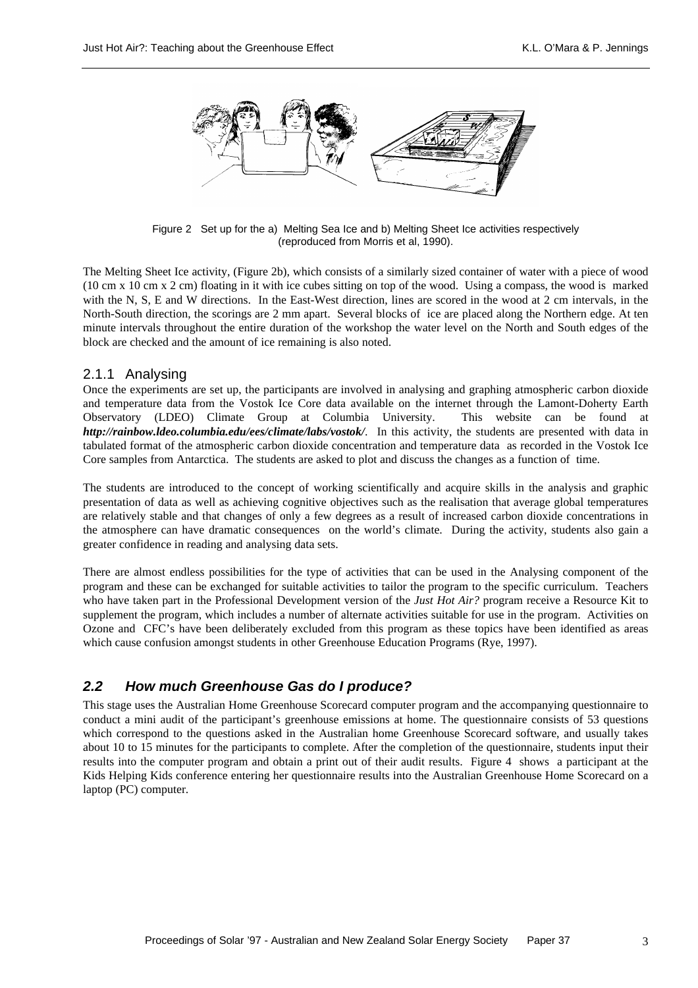

Figure 2 Set up for the a) Melting Sea Ice and b) Melting Sheet Ice activities respectively (reproduced from Morris et al, 1990).

The Melting Sheet Ice activity, (Figure 2b), which consists of a similarly sized container of water with a piece of wood (10 cm x 10 cm x 2 cm) floating in it with ice cubes sitting on top of the wood. Using a compass, the wood is marked with the N, S, E and W directions. In the East-West direction, lines are scored in the wood at 2 cm intervals, in the North-South direction, the scorings are 2 mm apart. Several blocks of ice are placed along the Northern edge. At ten minute intervals throughout the entire duration of the workshop the water level on the North and South edges of the block are checked and the amount of ice remaining is also noted.

#### 2.1.1 Analysing

Once the experiments are set up, the participants are involved in analysing and graphing atmospheric carbon dioxide and temperature data from the Vostok Ice Core data available on the internet through the Lamont-Doherty Earth Observatory (LDEO) Climate Group at Columbia University. This website can be found at *http://rainbow.ldeo.columbia.edu/ees/climate/labs/vostok/*. In this activity, the students are presented with data in tabulated format of the atmospheric carbon dioxide concentration and temperature data as recorded in the Vostok Ice Core samples from Antarctica. The students are asked to plot and discuss the changes as a function of time.

The students are introduced to the concept of working scientifically and acquire skills in the analysis and graphic presentation of data as well as achieving cognitive objectives such as the realisation that average global temperatures are relatively stable and that changes of only a few degrees as a result of increased carbon dioxide concentrations in the atmosphere can have dramatic consequences on the world's climate. During the activity, students also gain a greater confidence in reading and analysing data sets.

There are almost endless possibilities for the type of activities that can be used in the Analysing component of the program and these can be exchanged for suitable activities to tailor the program to the specific curriculum. Teachers who have taken part in the Professional Development version of the *Just Hot Air?* program receive a Resource Kit to supplement the program, which includes a number of alternate activities suitable for use in the program. Activities on Ozone and CFC's have been deliberately excluded from this program as these topics have been identified as areas which cause confusion amongst students in other Greenhouse Education Programs (Rye, 1997).

### *2.2 How much Greenhouse Gas do I produce?*

This stage uses the Australian Home Greenhouse Scorecard computer program and the accompanying questionnaire to conduct a mini audit of the participant's greenhouse emissions at home. The questionnaire consists of 53 questions which correspond to the questions asked in the Australian home Greenhouse Scorecard software, and usually takes about 10 to 15 minutes for the participants to complete. After the completion of the questionnaire, students input their results into the computer program and obtain a print out of their audit results. Figure 4 shows a participant at the Kids Helping Kids conference entering her questionnaire results into the Australian Greenhouse Home Scorecard on a laptop (PC) computer.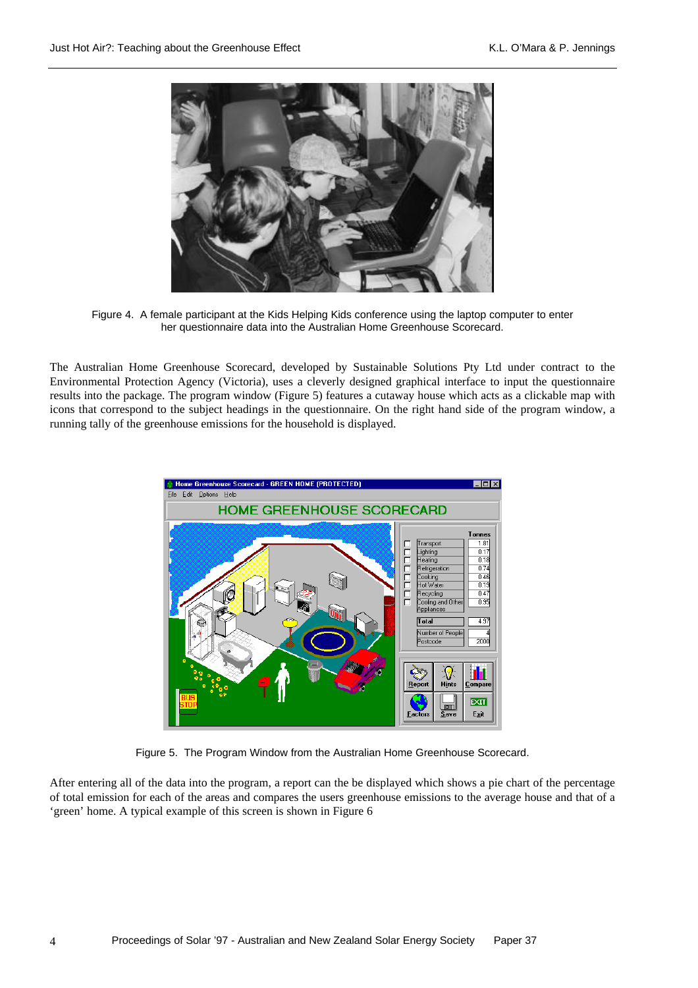

Figure 4. A female participant at the Kids Helping Kids conference using the laptop computer to enter her questionnaire data into the Australian Home Greenhouse Scorecard.

The Australian Home Greenhouse Scorecard, developed by Sustainable Solutions Pty Ltd under contract to the Environmental Protection Agency (Victoria), uses a cleverly designed graphical interface to input the questionnaire results into the package. The program window (Figure 5) features a cutaway house which acts as a clickable map with icons that correspond to the subject headings in the questionnaire. On the right hand side of the program window, a running tally of the greenhouse emissions for the household is displayed.



Figure 5. The Program Window from the Australian Home Greenhouse Scorecard.

After entering all of the data into the program, a report can the be displayed which shows a pie chart of the percentage of total emission for each of the areas and compares the users greenhouse emissions to the average house and that of a 'green' home. A typical example of this screen is shown in Figure 6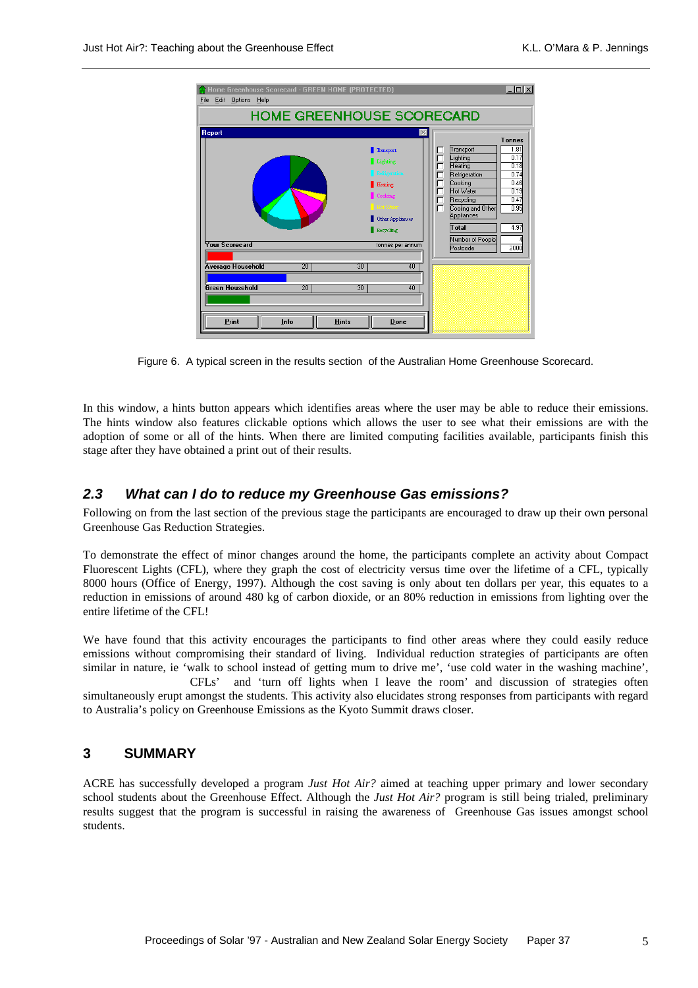| <b>HOME GREENHOUSE SCORECARD</b>                                                                      |                                               |                                                                                                                                                                                          |                                                                                                                                                                                   |                                                                                               |
|-------------------------------------------------------------------------------------------------------|-----------------------------------------------|------------------------------------------------------------------------------------------------------------------------------------------------------------------------------------------|-----------------------------------------------------------------------------------------------------------------------------------------------------------------------------------|-----------------------------------------------------------------------------------------------|
| <b>Report</b><br><b>Your Scorecard</b><br><b>Average Household</b><br><b>Green Household</b><br>Print | 20 <sup>2</sup><br>20<br>Info<br><b>Hints</b> | Transport<br>Lighting<br>Refrigeration<br>Heating<br>Cooking<br>Hot Water<br>Other Appliances<br>Recycling<br>tonnes per annum<br>30 <sup>2</sup><br>40<br>$\overline{30}$<br>40<br>Done | Transport<br>Lighting<br>Heating<br>Refrigeration<br>Cooking<br>Hot Water<br>□<br>г<br>Recycling<br>г<br>Cooling and Other<br>Appliances<br>Total<br>Number of People<br>Postcode | <b>Tonnes</b><br>1.81<br>0.17<br>0.18<br>0.74<br>0.46<br>0.19<br>0.47<br>0.95<br>4.97<br>2000 |

Figure 6. A typical screen in the results section of the Australian Home Greenhouse Scorecard.

In this window, a hints button appears which identifies areas where the user may be able to reduce their emissions. The hints window also features clickable options which allows the user to see what their emissions are with the adoption of some or all of the hints. When there are limited computing facilities available, participants finish this stage after they have obtained a print out of their results.

### *2.3 What can I do to reduce my Greenhouse Gas emissions?*

Following on from the last section of the previous stage the participants are encouraged to draw up their own personal Greenhouse Gas Reduction Strategies.

To demonstrate the effect of minor changes around the home, the participants complete an activity about Compact Fluorescent Lights (CFL), where they graph the cost of electricity versus time over the lifetime of a CFL, typically 8000 hours (Office of Energy, 1997). Although the cost saving is only about ten dollars per year, this equates to a reduction in emissions of around 480 kg of carbon dioxide, or an 80% reduction in emissions from lighting over the entire lifetime of the CFL!

We have found that this activity encourages the participants to find other areas where they could easily reduce emissions without compromising their standard of living. Individual reduction strategies of participants are often similar in nature, ie 'walk to school instead of getting mum to drive me', 'use cold water in the washing machine',

CFLs' and 'turn off lights when I leave the room' and discussion of strategies often simultaneously erupt amongst the students. This activity also elucidates strong responses from participants with regard to Australia's policy on Greenhouse Emissions as the Kyoto Summit draws closer.

#### **3 SUMMARY**

ACRE has successfully developed a program *Just Hot Air?* aimed at teaching upper primary and lower secondary school students about the Greenhouse Effect. Although the *Just Hot Air?* program is still being trialed, preliminary results suggest that the program is successful in raising the awareness of Greenhouse Gas issues amongst school students.